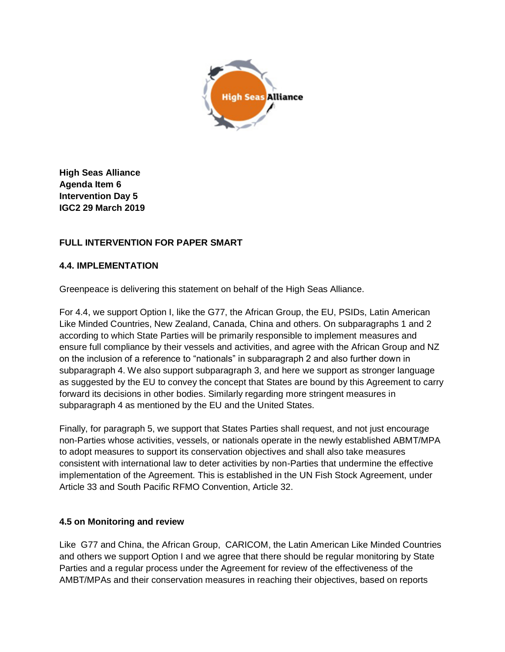

**High Seas Alliance Agenda Item 6 Intervention Day 5 IGC2 29 March 2019**

## **FULL INTERVENTION FOR PAPER SMART**

## **4.4. IMPLEMENTATION**

Greenpeace is delivering this statement on behalf of the High Seas Alliance.

For 4.4, we support Option I, like the G77, the African Group, the EU, PSIDs, Latin American Like Minded Countries, New Zealand, Canada, China and others. On subparagraphs 1 and 2 according to which State Parties will be primarily responsible to implement measures and ensure full compliance by their vessels and activities, and agree with the African Group and NZ on the inclusion of a reference to "nationals" in subparagraph 2 and also further down in subparagraph 4. We also support subparagraph 3, and here we support as stronger language as suggested by the EU to convey the concept that States are bound by this Agreement to carry forward its decisions in other bodies. Similarly regarding more stringent measures in subparagraph 4 as mentioned by the EU and the United States.

Finally, for paragraph 5, we support that States Parties shall request, and not just encourage non-Parties whose activities, vessels, or nationals operate in the newly established ABMT/MPA to adopt measures to support its conservation objectives and shall also take measures consistent with international law to deter activities by non-Parties that undermine the effective implementation of the Agreement. This is established in the UN Fish Stock Agreement, under Article 33 and South Pacific RFMO Convention, Article 32.

## **4.5 on Monitoring and review**

Like G77 and China, the African Group, CARICOM, the Latin American Like Minded Countries and others we support Option I and we agree that there should be regular monitoring by State Parties and a regular process under the Agreement for review of the effectiveness of the AMBT/MPAs and their conservation measures in reaching their objectives, based on reports